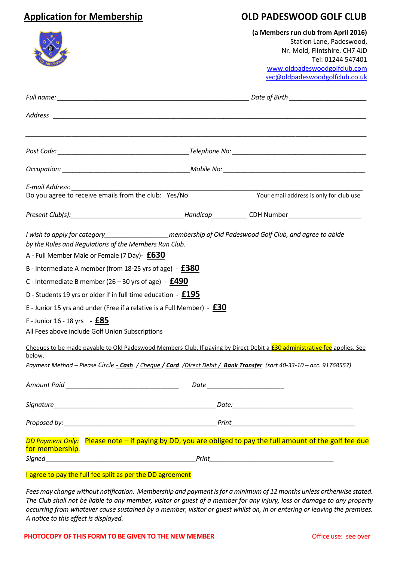# **Application for Membership OLD PADESWOOD GOLF CLUB**

|                                                                                                                                                                                                                          |  | (a Members run club from April 2016)<br>Station Lane, Padeswood,<br>Nr. Mold, Flintshire. CH7 4JD<br>Tel: 01244 547401           |
|--------------------------------------------------------------------------------------------------------------------------------------------------------------------------------------------------------------------------|--|----------------------------------------------------------------------------------------------------------------------------------|
|                                                                                                                                                                                                                          |  | www.oldpadeswoodgolfclub.com<br>sec@oldpadeswoodgolfclub.co.uk                                                                   |
|                                                                                                                                                                                                                          |  |                                                                                                                                  |
|                                                                                                                                                                                                                          |  |                                                                                                                                  |
|                                                                                                                                                                                                                          |  |                                                                                                                                  |
|                                                                                                                                                                                                                          |  |                                                                                                                                  |
|                                                                                                                                                                                                                          |  | Your email address is only for club use                                                                                          |
|                                                                                                                                                                                                                          |  |                                                                                                                                  |
| I wish to apply for category________________________membership of Old Padeswood Golf Club, and agree to abide<br>by the Rules and Regulations of the Members Run Club.<br>A - Full Member Male or Female (7 Day)- $£630$ |  |                                                                                                                                  |
| B - Intermediate A member (from 18-25 yrs of age) - $£380$                                                                                                                                                               |  |                                                                                                                                  |
| C - Intermediate B member (26 - 30 yrs of age) - $E490$                                                                                                                                                                  |  |                                                                                                                                  |
| D - Students 19 yrs or older if in full time education - $£195$                                                                                                                                                          |  |                                                                                                                                  |
| E - Junior 15 yrs and under (Free if a relative is a Full Member) - $E30$<br>F - Junior 16 - 18 yrs - $£85$                                                                                                              |  |                                                                                                                                  |
| All Fees above include Golf Union Subscriptions                                                                                                                                                                          |  |                                                                                                                                  |
| below.                                                                                                                                                                                                                   |  | Cheques to be made payable to Old Padeswood Members Club, If paying by Direct Debit a <b>£30 administrative fee</b> applies. See |
| Payment Method - Please Circle - Cash / Cheque / Card / Direct Debit / Bank Transfer (sort 40-33-10 - acc. 91768557)                                                                                                     |  |                                                                                                                                  |
|                                                                                                                                                                                                                          |  |                                                                                                                                  |
|                                                                                                                                                                                                                          |  |                                                                                                                                  |
|                                                                                                                                                                                                                          |  |                                                                                                                                  |
| for membership.                                                                                                                                                                                                          |  | DD Payment Only: Please note - if paying by DD, you are obliged to pay the full amount of the golf fee due                       |
|                                                                                                                                                                                                                          |  |                                                                                                                                  |

### I agree to pay the full fee split as per the DD agreement

*Fees may change without notification. Membership and payment is for a minimum of 12 months unless ortherwise stated. The Club shall not be liable to any member, visitor or guest of a member for any injury, loss or damage to any property occurring from whatever cause sustained by a member, visitor or guest whilst on, in or entering or leaving the premises. A notice to this effect is displayed.*

# **PHOTOCOPY OF THIS FORM TO BE GIVEN TO THE NEW MEMBER CONTROLLY CONTROLLY SEE SEE OVER** Office use: see over